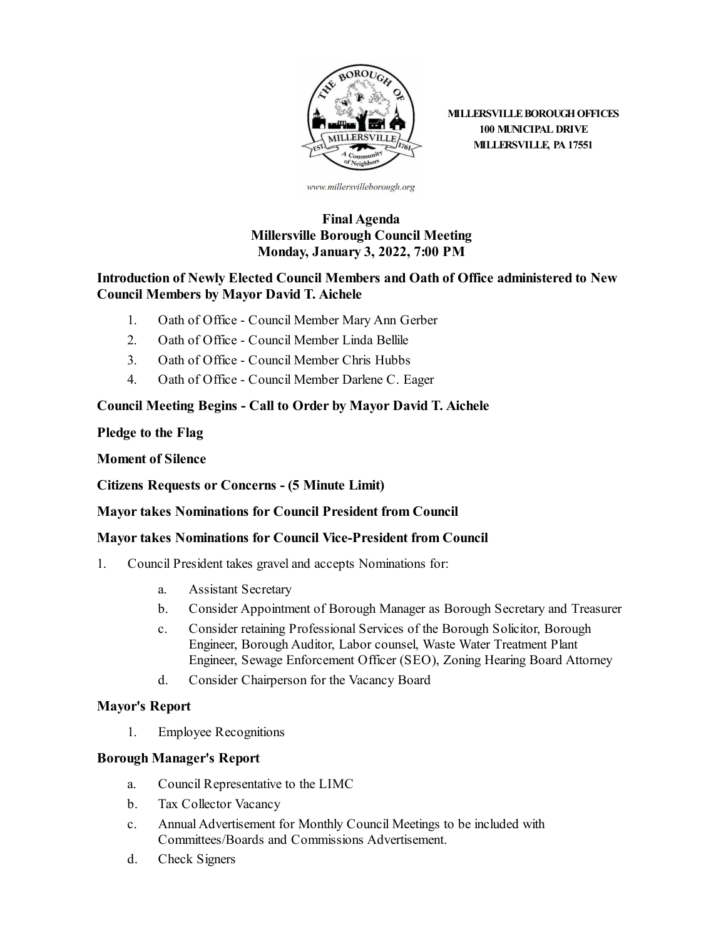

**MILLERSVILLE BOROUGH OFFICES 100 MUNICIPAL DRIVE MILLERSVILLE, PA 17551**

www.millersvilleborough.org

## **Final Agenda Millersville Borough Council Meeting Monday, January 3, 2022, 7:00 PM**

### **Introduction of Newly Elected Council Members and Oath of Office administered to New Council Members by Mayor David T. Aichele**

- 1. Oath of Office Council [Member](file:///C:/Windows/TEMP/CoverSheet.aspx?ItemID=2242&MeetingID=268) Mary Ann Gerber
- 2. Oath of Office Council [Member](file:///C:/Windows/TEMP/CoverSheet.aspx?ItemID=2243&MeetingID=268) Linda Bellile
- 3. Oath of Office Council [Member](file:///C:/Windows/TEMP/CoverSheet.aspx?ItemID=2244&MeetingID=268) Chris Hubbs
- 4. Oath of Office Council [Member](file:///C:/Windows/TEMP/CoverSheet.aspx?ItemID=2245&MeetingID=268) Darlene C. Eager

#### **Council Meeting Begins - Call to Order by Mayor David T. Aichele**

**Pledge to the Flag**

**Moment of Silence**

**Citizens Requests or Concerns - (5 Minute Limit)**

#### **Mayortakes Nominations for Council President from Council**

#### **Mayortakes Nominations for Council Vice-President from Council**

- 1. Council President takes graveland accepts Nominations for:
	- a. Assistant [Secretary](file:///C:/Windows/TEMP/CoverSheet.aspx?ItemID=2258&MeetingID=268)
	- b. Consider [Appointment](file:///C:/Windows/TEMP/CoverSheet.aspx?ItemID=2259&MeetingID=268) of Borough Manager as Borough Secretary and Treasurer
	- c. Consider retaining [Professional](file:///C:/Windows/TEMP/CoverSheet.aspx?ItemID=2260&MeetingID=268) Services of the Borough Solicitor, Borough Engineer, Borough Auditor, Labor counsel, Waste Water Treatment Plant Engineer, Sewage Enforcement Officer (SEO), Zoning Hearing Board Attorney
	- d. Consider [Chairperson](file:///C:/Windows/TEMP/CoverSheet.aspx?ItemID=2261&MeetingID=268) for the Vacancy Board

#### **Mayor's Report**

1. Employee [Recognitions](file:///C:/Windows/TEMP/CoverSheet.aspx?ItemID=2267&MeetingID=268)

#### **Borough Manager's Report**

- a. Council [Representative](file:///C:/Windows/TEMP/CoverSheet.aspx?ItemID=2262&MeetingID=268) to the LIMC
- b. Tax [Collector](file:///C:/Windows/TEMP/CoverSheet.aspx?ItemID=2263&MeetingID=268) Vacancy
- c. Annual Advertisement for Monthly Council Meetings to be included with Committees/Boards and Commissions Advertisement.
- d. Check [Signers](file:///C:/Windows/TEMP/CoverSheet.aspx?ItemID=2265&MeetingID=268)